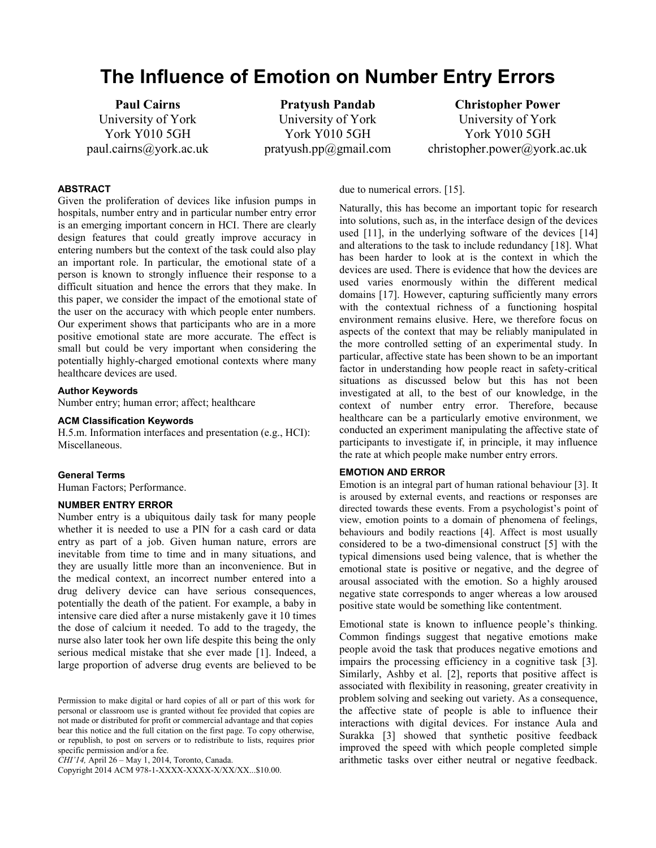# **The Influence of Emotion on Number Entry Errors**

**Paul Cairns** University of York York Y010 5GH paul.cairns@york.ac.uk

**Pratyush Pandab** University of York York Y010 5GH pratyush.pp@gmail.com

**Christopher Power** University of York York Y010 5GH christopher.power@york.ac.uk

# **ABSTRACT**

Given the proliferation of devices like infusion pumps in hospitals, number entry and in particular number entry error is an emerging important concern in HCI. There are clearly design features that could greatly improve accuracy in entering numbers but the context of the task could also play an important role. In particular, the emotional state of a person is known to strongly influence their response to a difficult situation and hence the errors that they make. In this paper, we consider the impact of the emotional state of the user on the accuracy with which people enter numbers. Our experiment shows that participants who are in a more positive emotional state are more accurate. The effect is small but could be very important when considering the potentially highly-charged emotional contexts where many healthcare devices are used.

#### **Author Keywords**

Number entry; human error; affect; healthcare

## **ACM Classification Keywords**

H.5.m. Information interfaces and presentation (e.g., HCI): Miscellaneous.

#### **General Terms**

Human Factors; Performance.

#### **NUMBER ENTRY ERROR**

Number entry is a ubiquitous daily task for many people whether it is needed to use a PIN for a cash card or data entry as part of a job. Given human nature, errors are inevitable from time to time and in many situations, and they are usually little more than an inconvenience. But in the medical context, an incorrect number entered into a drug delivery device can have serious consequences, potentially the death of the patient. For example, a baby in intensive care died after a nurse mistakenly gave it 10 times the dose of calcium it needed. To add to the tragedy, the nurse also later took her own life despite this being the only serious medical mistake that she ever made [\[1\]](#page-3-0). Indeed, a large proportion of adverse drug events are believed to be

*CHI'14,* April 26 – May 1, 2014, Toronto, Canada.

Copyright 2014 ACM 978-1-XXXX-XXXX-X/XX/XX...\$10.00.

due to numerical errors. [\[15\]](#page-3-1).

Naturally, this has become an important topic for research into solutions, such as, in the interface design of the devices used [\[11\]](#page-3-2), in the underlying software of the devices [\[14\]](#page-3-3) and alterations to the task to include redundancy [\[18\]](#page-3-4). What has been harder to look at is the context in which the devices are used. There is evidence that how the devices are used varies enormously within the different medical domains [\[17\]](#page-3-5). However, capturing sufficiently many errors with the contextual richness of a functioning hospital environment remains elusive. Here, we therefore focus on aspects of the context that may be reliably manipulated in the more controlled setting of an experimental study. In particular, affective state has been shown to be an important factor in understanding how people react in safety-critical situations as discussed below but this has not been investigated at all, to the best of our knowledge, in the context of number entry error. Therefore, because healthcare can be a particularly emotive environment, we conducted an experiment manipulating the affective state of participants to investigate if, in principle, it may influence the rate at which people make number entry errors.

## **EMOTION AND ERROR**

Emotion is an integral part of human rational behaviour [\[3\]](#page-3-6). It is aroused by external events, and reactions or responses are directed towards these events. From a psychologist's point of view, emotion points to a domain of phenomena of feelings, behaviours and bodily reactions [\[4\]](#page-3-7). Affect is most usually considered to be a two-dimensional construct [\[5\]](#page-3-8) with the typical dimensions used being valence, that is whether the emotional state is positive or negative, and the degree of arousal associated with the emotion. So a highly aroused negative state corresponds to anger whereas a low aroused positive state would be something like contentment.

Emotional state is known to influence people's thinking. Common findings suggest that negative emotions make people avoid the task that produces negative emotions and impairs the processing efficiency in a cognitive task [\[3\]](#page-3-6). Similarly, Ashby et al. [\[2\]](#page-3-9), reports that positive affect is associated with flexibility in reasoning, greater creativity in problem solving and seeking out variety. As a consequence, the affective state of people is able to influence their interactions with digital devices. For instance Aula and Surakka [\[3\]](#page-3-6) showed that synthetic positive feedback improved the speed with which people completed simple arithmetic tasks over either neutral or negative feedback.

Permission to make digital or hard copies of all or part of this work for personal or classroom use is granted without fee provided that copies are not made or distributed for profit or commercial advantage and that copies bear this notice and the full citation on the first page. To copy otherwise, or republish, to post on servers or to redistribute to lists, requires prior specific permission and/or a fee.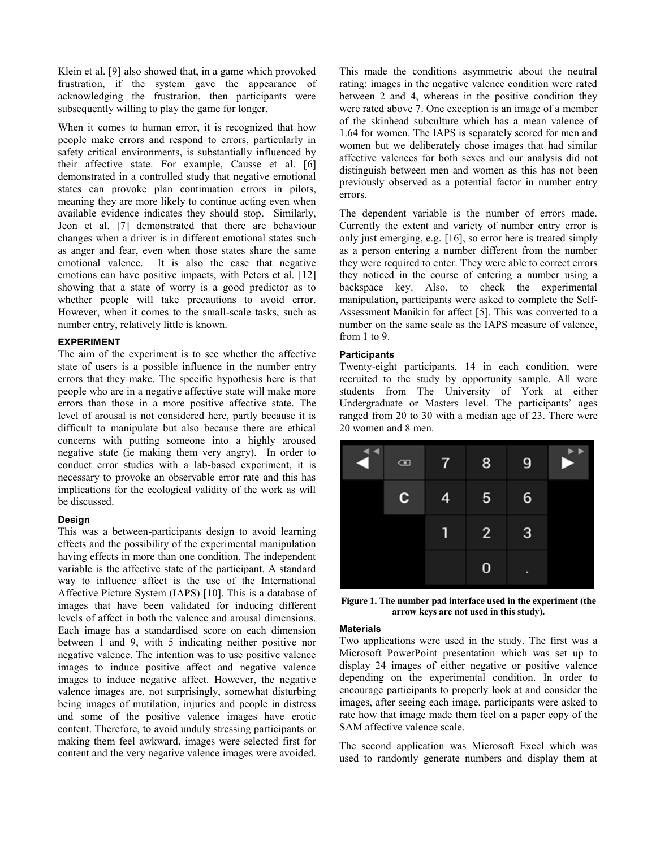Klein et al. [\[9\]](#page-3-10) also showed that, in a game which provoked frustration, if the system gave the appearance of acknowledging the frustration, then participants were subsequently willing to play the game for longer.

When it comes to human error, it is recognized that how people make errors and respond to errors, particularly in safety critical environments, is substantially influenced by their affective state. For example, Causse et al. [\[6\]](#page-3-11) demonstrated in a controlled study that negative emotional states can provoke plan continuation errors in pilots, meaning they are more likely to continue acting even when available evidence indicates they should stop. Similarly, Jeon et al. [\[7\]](#page-3-12) demonstrated that there are behaviour changes when a driver is in different emotional states such as anger and fear, even when those states share the same emotional valence. It is also the case that negative emotions can have positive impacts, with Peters et al. [\[12\]](#page-3-13) showing that a state of worry is a good predictor as to whether people will take precautions to avoid error. However, when it comes to the small-scale tasks, such as number entry, relatively little is known.

# **EXPERIMENT**

The aim of the experiment is to see whether the affective state of users is a possible influence in the number entry errors that they make. The specific hypothesis here is that people who are in a negative affective state will make more errors than those in a more positive affective state. The level of arousal is not considered here, partly because it is difficult to manipulate but also because there are ethical concerns with putting someone into a highly aroused negative state (ie making them very angry). In order to conduct error studies with a lab-based experiment, it is necessary to provoke an observable error rate and this has implications for the ecological validity of the work as will be discussed.

## **Design**

This was a between-participants design to avoid learning effects and the possibility of the experimental manipulation having effects in more than one condition. The independent variable is the affective state of the participant. A standard way to influence affect is the use of the International Affective Picture System (IAPS) [\[10\]](#page-3-14). This is a database of images that have been validated for inducing different levels of affect in both the valence and arousal dimensions. Each image has a standardised score on each dimension between 1 and 9, with 5 indicating neither positive nor negative valence. The intention was to use positive valence images to induce positive affect and negative valence images to induce negative affect. However, the negative valence images are, not surprisingly, somewhat disturbing being images of mutilation, injuries and people in distress and some of the positive valence images have erotic content. Therefore, to avoid unduly stressing participants or making them feel awkward, images were selected first for content and the very negative valence images were avoided.

This made the conditions asymmetric about the neutral rating: images in the negative valence condition were rated between 2 and 4, whereas in the positive condition they were rated above 7. One exception is an image of a member of the skinhead subculture which has a mean valence of 1.64 for women. The IAPS is separately scored for men and women but we deliberately chose images that had similar affective valences for both sexes and our analysis did not distinguish between men and women as this has not been previously observed as a potential factor in number entry errors.

The dependent variable is the number of errors made. Currently the extent and variety of number entry error is only just emerging, e.g. [\[16\]](#page-3-15), so error here is treated simply as a person entering a number different from the number they were required to enter. They were able to correct errors they noticed in the course of entering a number using a backspace key. Also, to check the experimental manipulation, participants were asked to complete the Self-Assessment Manikin for affect [\[5\]](#page-3-8). This was converted to a number on the same scale as the IAPS measure of valence, from 1 to 9.

# **Participants**

Twenty-eight participants, 14 in each condition, were recruited to the study by opportunity sample. All were students from The University of York at either Undergraduate or Masters level. The participants' ages ranged from 20 to 30 with a median age of 23. There were 20 women and 8 men.

| $\frac{4}{3}$ | $\scriptstyle\rm \odot$ | $7^{\circ}$    | 8 <sup>2</sup> | 9 | $\blacktriangleright$<br>2 |
|---------------|-------------------------|----------------|----------------|---|----------------------------|
|               | C.                      | 4              | 5 <sup>5</sup> | 6 |                            |
|               |                         | $\mathbf \Phi$ | $2^{\circ}$    | 3 |                            |
|               |                         |                | 0              | п |                            |

**Figure 1. The number pad interface used in the experiment (the arrow keys are not used in this study).**

#### **Materials**

Two applications were used in the study. The first was a Microsoft PowerPoint presentation which was set up to display 24 images of either negative or positive valence depending on the experimental condition. In order to encourage participants to properly look at and consider the images, after seeing each image, participants were asked to rate how that image made them feel on a paper copy of the SAM affective valence scale.

The second application was Microsoft Excel which was used to randomly generate numbers and display them at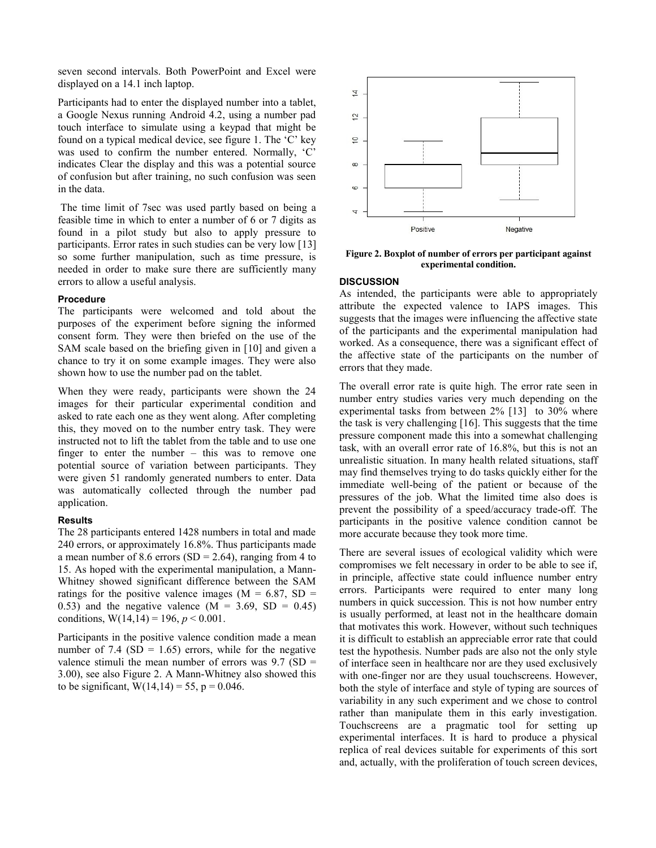seven second intervals. Both PowerPoint and Excel were displayed on a 14.1 inch laptop.

Participants had to enter the displayed number into a tablet, a Google Nexus running Android 4.2, using a number pad touch interface to simulate using a keypad that might be found on a typical medical device, see figure 1. The 'C' key was used to confirm the number entered. Normally, 'C' indicates Clear the display and this was a potential source of confusion but after training, no such confusion was seen in the data.

The time limit of 7sec was used partly based on being a feasible time in which to enter a number of 6 or 7 digits as found in a pilot study but also to apply pressure to participants. Error rates in such studies can be very low [\[13\]](#page-3-16) so some further manipulation, such as time pressure, is needed in order to make sure there are sufficiently many errors to allow a useful analysis.

#### **Procedure**

The participants were welcomed and told about the purposes of the experiment before signing the informed consent form. They were then briefed on the use of the SAM scale based on the briefing given in [\[10\]](#page-3-14) and given a chance to try it on some example images. They were also shown how to use the number pad on the tablet.

When they were ready, participants were shown the 24 images for their particular experimental condition and asked to rate each one as they went along. After completing this, they moved on to the number entry task. They were instructed not to lift the tablet from the table and to use one finger to enter the number – this was to remove one potential source of variation between participants. They were given 51 randomly generated numbers to enter. Data was automatically collected through the number pad application.

#### **Results**

The 28 participants entered 1428 numbers in total and made 240 errors, or approximately 16.8%. Thus participants made a mean number of 8.6 errors  $(SD = 2.64)$ , ranging from 4 to 15. As hoped with the experimental manipulation, a Mann-Whitney showed significant difference between the SAM ratings for the positive valence images ( $M = 6.87$ , SD = 0.53) and the negative valence  $(M = 3.69, SD = 0.45)$ conditions,  $W(14, 14) = 196$ ,  $p < 0.001$ .

Participants in the positive valence condition made a mean number of 7.4 (SD =  $1.65$ ) errors, while for the negative valence stimuli the mean number of errors was  $9.7$  (SD = 3.00), see also Figure 2. A Mann-Whitney also showed this to be significant,  $W(14,14) = 55$ ,  $p = 0.046$ .



**Figure 2. Boxplot of number of errors per participant against experimental condition.**

# **DISCUSSION**

As intended, the participants were able to appropriately attribute the expected valence to IAPS images. This suggests that the images were influencing the affective state of the participants and the experimental manipulation had worked. As a consequence, there was a significant effect of the affective state of the participants on the number of errors that they made.

The overall error rate is quite high. The error rate seen in number entry studies varies very much depending on the experimental tasks from between 2% [\[13\]](#page-3-16) to 30% where the task is very challenging [\[16\]](#page-3-15). This suggests that the time pressure component made this into a somewhat challenging task, with an overall error rate of 16.8%, but this is not an unrealistic situation. In many health related situations, staff may find themselves trying to do tasks quickly either for the immediate well-being of the patient or because of the pressures of the job. What the limited time also does is prevent the possibility of a speed/accuracy trade-off. The participants in the positive valence condition cannot be more accurate because they took more time.

There are several issues of ecological validity which were compromises we felt necessary in order to be able to see if, in principle, affective state could influence number entry errors. Participants were required to enter many long numbers in quick succession. This is not how number entry is usually performed, at least not in the healthcare domain that motivates this work. However, without such techniques it is difficult to establish an appreciable error rate that could test the hypothesis. Number pads are also not the only style of interface seen in healthcare nor are they used exclusively with one-finger nor are they usual touchscreens. However, both the style of interface and style of typing are sources of variability in any such experiment and we chose to control rather than manipulate them in this early investigation. Touchscreens are a pragmatic tool for setting up experimental interfaces. It is hard to produce a physical replica of real devices suitable for experiments of this sort and, actually, with the proliferation of touch screen devices,